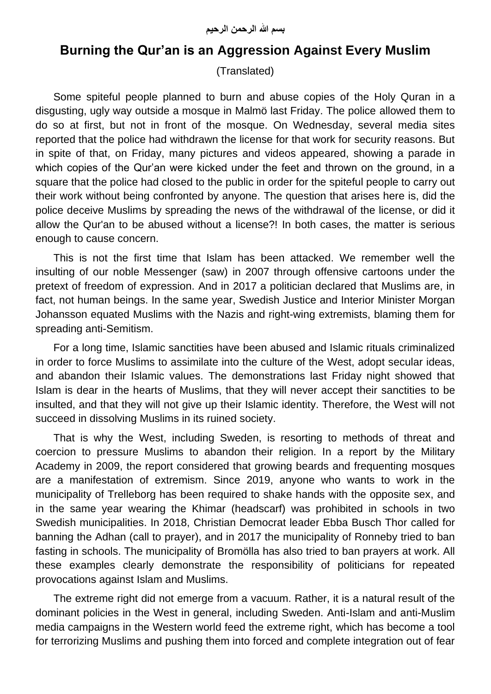## **Burning the Qur'an is an Aggression Against Every Muslim**

(Translated)

Some spiteful people planned to burn and abuse copies of the Holy Quran in a disgusting, ugly way outside a mosque in Malmö last Friday. The police allowed them to do so at first, but not in front of the mosque. On Wednesday, several media sites reported that the police had withdrawn the license for that work for security reasons. But in spite of that, on Friday, many pictures and videos appeared, showing a parade in which copies of the Qur'an were kicked under the feet and thrown on the ground, in a square that the police had closed to the public in order for the spiteful people to carry out their work without being confronted by anyone. The question that arises here is, did the police deceive Muslims by spreading the news of the withdrawal of the license, or did it allow the Qur'an to be abused without a license?! In both cases, the matter is serious enough to cause concern.

This is not the first time that Islam has been attacked. We remember well the insulting of our noble Messenger (saw) in 2007 through offensive cartoons under the pretext of freedom of expression. And in 2017 a politician declared that Muslims are, in fact, not human beings. In the same year, Swedish Justice and Interior Minister Morgan Johansson equated Muslims with the Nazis and right-wing extremists, blaming them for spreading anti-Semitism.

For a long time, Islamic sanctities have been abused and Islamic rituals criminalized in order to force Muslims to assimilate into the culture of the West, adopt secular ideas, and abandon their Islamic values. The demonstrations last Friday night showed that Islam is dear in the hearts of Muslims, that they will never accept their sanctities to be insulted, and that they will not give up their Islamic identity. Therefore, the West will not succeed in dissolving Muslims in its ruined society.

That is why the West, including Sweden, is resorting to methods of threat and coercion to pressure Muslims to abandon their religion. In a report by the Military Academy in 2009, the report considered that growing beards and frequenting mosques are a manifestation of extremism. Since 2019, anyone who wants to work in the municipality of Trelleborg has been required to shake hands with the opposite sex, and in the same year wearing the Khimar (headscarf) was prohibited in schools in two Swedish municipalities. In 2018, Christian Democrat leader Ebba Busch Thor called for banning the Adhan (call to prayer), and in 2017 the municipality of Ronneby tried to ban fasting in schools. The municipality of Bromölla has also tried to ban prayers at work. All these examples clearly demonstrate the responsibility of politicians for repeated provocations against Islam and Muslims.

The extreme right did not emerge from a vacuum. Rather, it is a natural result of the dominant policies in the West in general, including Sweden. Anti-Islam and anti-Muslim media campaigns in the Western world feed the extreme right, which has become a tool for terrorizing Muslims and pushing them into forced and complete integration out of fear